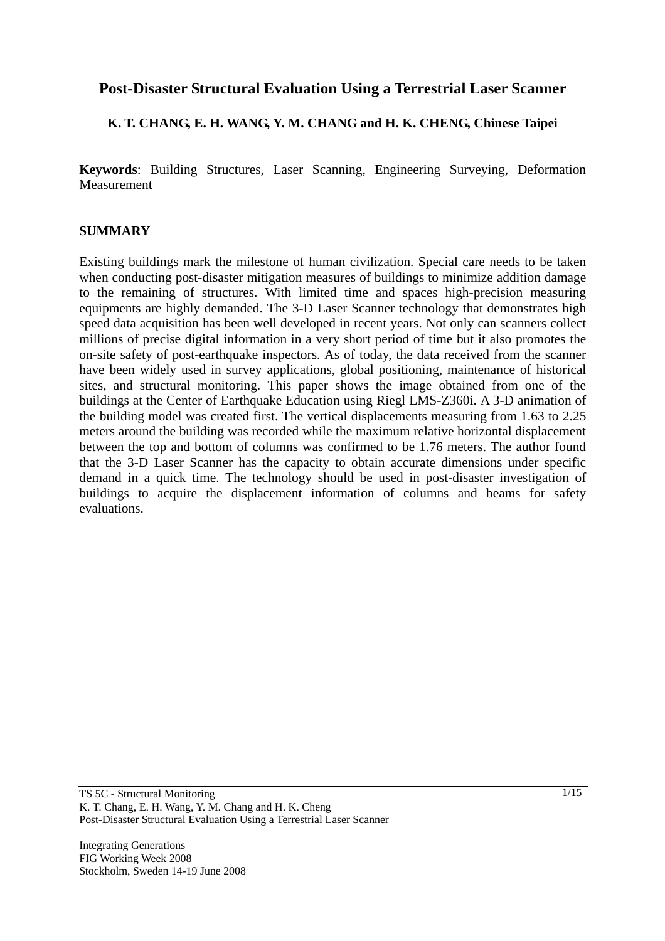# **Post-Disaster Structural Evaluation Using a Terrestrial Laser Scanner**

## **K. T. CHANG, E. H. WANG, Y. M. CHANG and H. K. CHENG, Chinese Taipei**

**Keywords**: Building Structures, Laser Scanning, Engineering Surveying, Deformation Measurement

### **SUMMARY**

Existing buildings mark the milestone of human civilization. Special care needs to be taken when conducting post-disaster mitigation measures of buildings to minimize addition damage to the remaining of structures. With limited time and spaces high-precision measuring equipments are highly demanded. The 3-D Laser Scanner technology that demonstrates high speed data acquisition has been well developed in recent years. Not only can scanners collect millions of precise digital information in a very short period of time but it also promotes the on-site safety of post-earthquake inspectors. As of today, the data received from the scanner have been widely used in survey applications, global positioning, maintenance of historical sites, and structural monitoring. This paper shows the image obtained from one of the buildings at the Center of Earthquake Education using Riegl LMS-Z360i. A 3-D animation of the building model was created first. The vertical displacements measuring from 1.63 to 2.25 meters around the building was recorded while the maximum relative horizontal displacement between the top and bottom of columns was confirmed to be 1.76 meters. The author found that the 3-D Laser Scanner has the capacity to obtain accurate dimensions under specific demand in a quick time. The technology should be used in post-disaster investigation of buildings to acquire the displacement information of columns and beams for safety evaluations.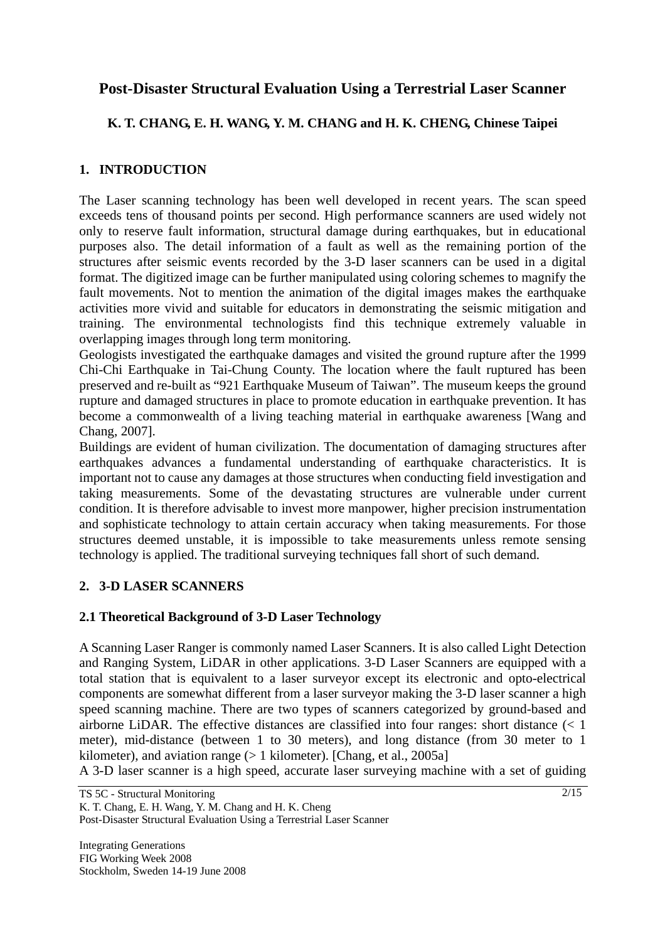# **Post-Disaster Structural Evaluation Using a Terrestrial Laser Scanner**

# **K. T. CHANG, E. H. WANG, Y. M. CHANG and H. K. CHENG, Chinese Taipei**

## **1. INTRODUCTION**

The Laser scanning technology has been well developed in recent years. The scan speed exceeds tens of thousand points per second. High performance scanners are used widely not only to reserve fault information, structural damage during earthquakes, but in educational purposes also. The detail information of a fault as well as the remaining portion of the structures after seismic events recorded by the 3-D laser scanners can be used in a digital format. The digitized image can be further manipulated using coloring schemes to magnify the fault movements. Not to mention the animation of the digital images makes the earthquake activities more vivid and suitable for educators in demonstrating the seismic mitigation and training. The environmental technologists find this technique extremely valuable in overlapping images through long term monitoring.

Geologists investigated the earthquake damages and visited the ground rupture after the 1999 Chi-Chi Earthquake in Tai-Chung County. The location where the fault ruptured has been preserved and re-built as "921 Earthquake Museum of Taiwan". The museum keeps the ground rupture and damaged structures in place to promote education in earthquake prevention. It has become a commonwealth of a living teaching material in earthquake awareness [Wang and Chang, 2007].

Buildings are evident of human civilization. The documentation of damaging structures after earthquakes advances a fundamental understanding of earthquake characteristics. It is important not to cause any damages at those structures when conducting field investigation and taking measurements. Some of the devastating structures are vulnerable under current condition. It is therefore advisable to invest more manpower, higher precision instrumentation and sophisticate technology to attain certain accuracy when taking measurements. For those structures deemed unstable, it is impossible to take measurements unless remote sensing technology is applied. The traditional surveying techniques fall short of such demand.

## **2. 3-D LASER SCANNERS**

## **2.1 Theoretical Background of 3-D Laser Technology**

A Scanning Laser Ranger is commonly named Laser Scanners. It is also called Light Detection and Ranging System, LiDAR in other applications. 3-D Laser Scanners are equipped with a total station that is equivalent to a laser surveyor except its electronic and opto-electrical components are somewhat different from a laser surveyor making the 3-D laser scanner a high speed scanning machine. There are two types of scanners categorized by ground-based and airborne LiDAR. The effective distances are classified into four ranges: short distance (< 1 meter), mid-distance (between 1 to 30 meters), and long distance (from 30 meter to 1 kilometer), and aviation range (> 1 kilometer). [Chang, et al., 2005a]

A 3-D laser scanner is a high speed, accurate laser surveying machine with a set of guiding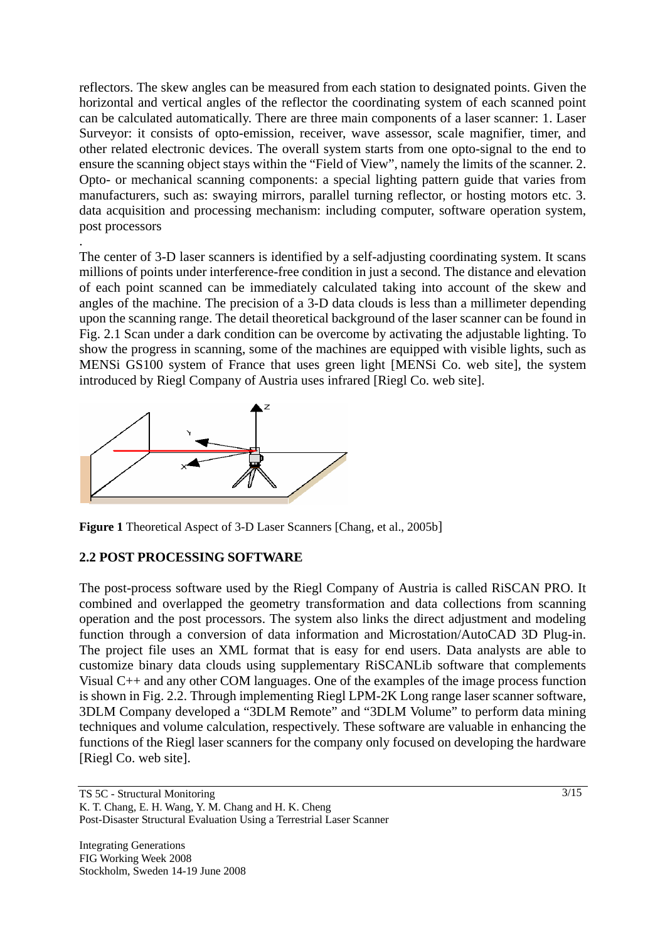reflectors. The skew angles can be measured from each station to designated points. Given the horizontal and vertical angles of the reflector the coordinating system of each scanned point can be calculated automatically. There are three main components of a laser scanner: 1. Laser Surveyor: it consists of opto-emission, receiver, wave assessor, scale magnifier, timer, and other related electronic devices. The overall system starts from one opto-signal to the end to ensure the scanning object stays within the "Field of View", namely the limits of the scanner. 2. Opto- or mechanical scanning components: a special lighting pattern guide that varies from manufacturers, such as: swaying mirrors, parallel turning reflector, or hosting motors etc. 3. data acquisition and processing mechanism: including computer, software operation system, post processors

The center of 3-D laser scanners is identified by a self-adjusting coordinating system. It scans millions of points under interference-free condition in just a second. The distance and elevation of each point scanned can be immediately calculated taking into account of the skew and angles of the machine. The precision of a 3-D data clouds is less than a millimeter depending upon the scanning range. The detail theoretical background of the laser scanner can be found in Fig. 2.1 Scan under a dark condition can be overcome by activating the adjustable lighting. To show the progress in scanning, some of the machines are equipped with visible lights, such as MENSi GS100 system of France that uses green light [MENSi Co. web site], the system introduced by Riegl Company of Austria uses infrared [Riegl Co. web site].



**Figure 1** Theoretical Aspect of 3-D Laser Scanners [Chang, et al., 2005b]

## **2.2 POST PROCESSING SOFTWARE**

.

The post-process software used by the Riegl Company of Austria is called RiSCAN PRO. It combined and overlapped the geometry transformation and data collections from scanning operation and the post processors. The system also links the direct adjustment and modeling function through a conversion of data information and Microstation/AutoCAD 3D Plug-in. The project file uses an XML format that is easy for end users. Data analysts are able to customize binary data clouds using supplementary RiSCANLib software that complements Visual C++ and any other COM languages. One of the examples of the image process function is shown in Fig. 2.2. Through implementing Riegl LPM-2K Long range laser scanner software, 3DLM Company developed a "3DLM Remote" and "3DLM Volume" to perform data mining techniques and volume calculation, respectively. These software are valuable in enhancing the functions of the Riegl laser scanners for the company only focused on developing the hardware [Riegl Co. web site].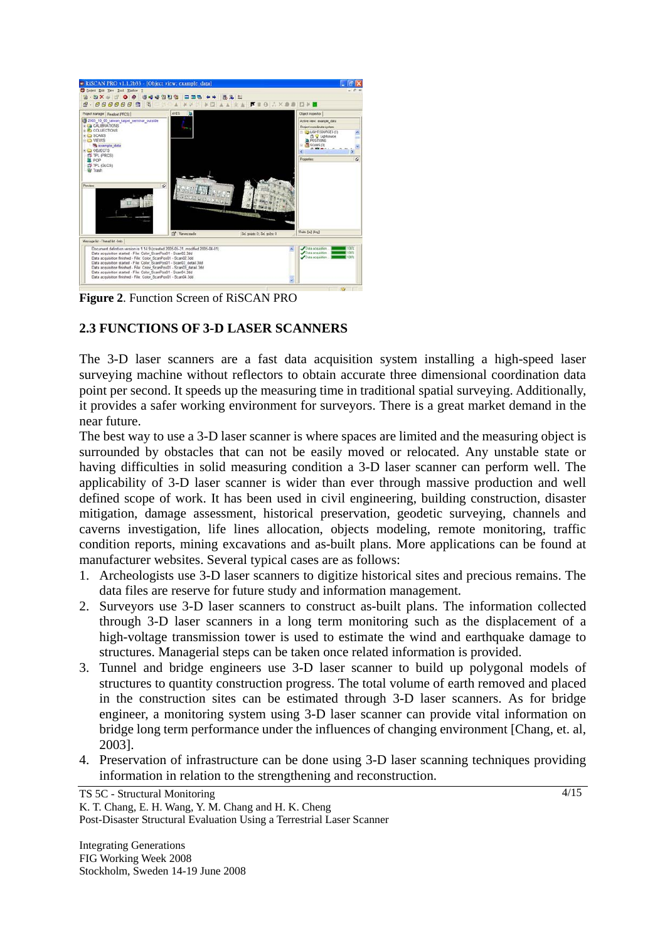

**Figure 2**. Function Screen of RiSCAN PRO

## **2.3 FUNCTIONS OF 3-D LASER SCANNERS**

The 3-D laser scanners are a fast data acquisition system installing a high-speed laser surveying machine without reflectors to obtain accurate three dimensional coordination data point per second. It speeds up the measuring time in traditional spatial surveying. Additionally, it provides a safer working environment for surveyors. There is a great market demand in the near future.

The best way to use a 3-D laser scanner is where spaces are limited and the measuring object is surrounded by obstacles that can not be easily moved or relocated. Any unstable state or having difficulties in solid measuring condition a 3-D laser scanner can perform well. The applicability of 3-D laser scanner is wider than ever through massive production and well defined scope of work. It has been used in civil engineering, building construction, disaster mitigation, damage assessment, historical preservation, geodetic surveying, channels and caverns investigation, life lines allocation, objects modeling, remote monitoring, traffic condition reports, mining excavations and as-built plans. More applications can be found at manufacturer websites. Several typical cases are as follows:

- 1. Archeologists use 3-D laser scanners to digitize historical sites and precious remains. The data files are reserve for future study and information management.
- 2. Surveyors use 3-D laser scanners to construct as-built plans. The information collected through 3-D laser scanners in a long term monitoring such as the displacement of a high-voltage transmission tower is used to estimate the wind and earthquake damage to structures. Managerial steps can be taken once related information is provided.
- 3. Tunnel and bridge engineers use 3-D laser scanner to build up polygonal models of structures to quantity construction progress. The total volume of earth removed and placed in the construction sites can be estimated through 3-D laser scanners. As for bridge engineer, a monitoring system using 3-D laser scanner can provide vital information on bridge long term performance under the influences of changing environment [Chang, et. al, 2003].
- 4. Preservation of infrastructure can be done using 3-D laser scanning techniques providing information in relation to the strengthening and reconstruction.

TS 5C - Structural Monitoring

K. T. Chang, E. H. Wang, Y. M. Chang and H. K. Cheng Post-Disaster Structural Evaluation Using a Terrestrial Laser Scanner

Integrating Generations FIG Working Week 2008 Stockholm, Sweden 14-19 June 2008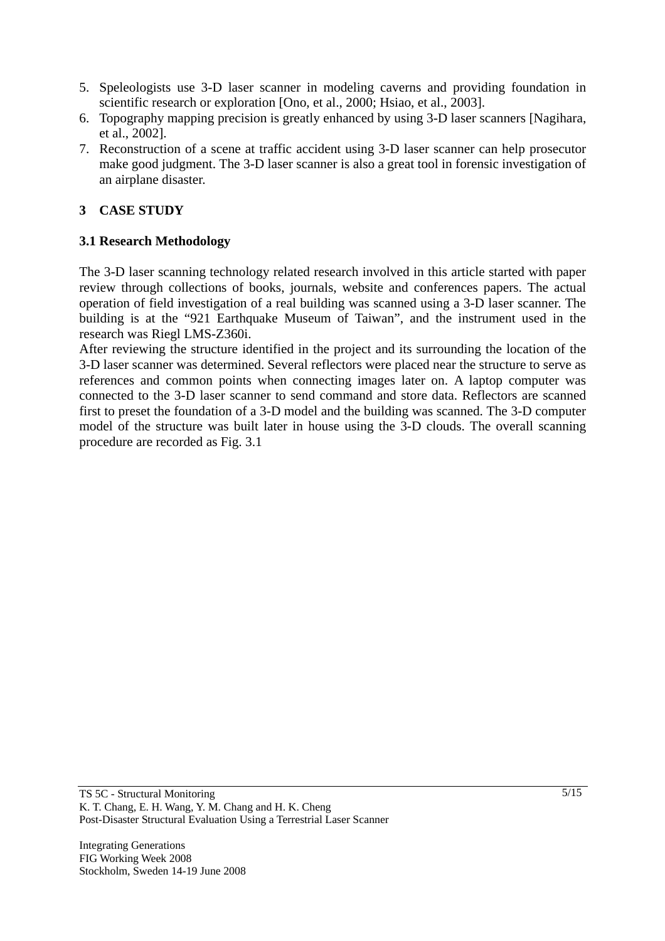- 5. Speleologists use 3-D laser scanner in modeling caverns and providing foundation in scientific research or exploration [Ono, et al., 2000; Hsiao, et al., 2003].
- 6. Topography mapping precision is greatly enhanced by using 3-D laser scanners [Nagihara, et al., 2002].
- 7. Reconstruction of a scene at traffic accident using 3-D laser scanner can help prosecutor make good judgment. The 3-D laser scanner is also a great tool in forensic investigation of an airplane disaster.

## **3 CASE STUDY**

## **3.1 Research Methodology**

The 3-D laser scanning technology related research involved in this article started with paper review through collections of books, journals, website and conferences papers. The actual operation of field investigation of a real building was scanned using a 3-D laser scanner. The building is at the "921 Earthquake Museum of Taiwan", and the instrument used in the research was Riegl LMS-Z360i.

After reviewing the structure identified in the project and its surrounding the location of the 3-D laser scanner was determined. Several reflectors were placed near the structure to serve as references and common points when connecting images later on. A laptop computer was connected to the 3-D laser scanner to send command and store data. Reflectors are scanned first to preset the foundation of a 3-D model and the building was scanned. The 3-D computer model of the structure was built later in house using the 3-D clouds. The overall scanning procedure are recorded as Fig. 3.1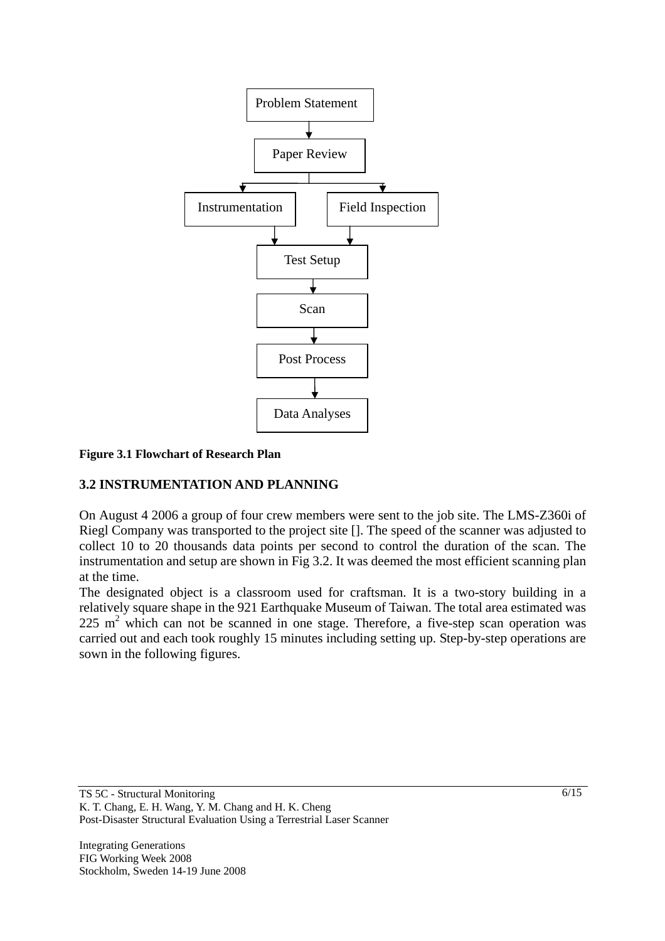

#### **Figure 3.1 Flowchart of Research Plan**

### **3.2 INSTRUMENTATION AND PLANNING**

On August 4 2006 a group of four crew members were sent to the job site. The LMS-Z360i of Riegl Company was transported to the project site []. The speed of the scanner was adjusted to collect 10 to 20 thousands data points per second to control the duration of the scan. The instrumentation and setup are shown in Fig 3.2. It was deemed the most efficient scanning plan at the time.

The designated object is a classroom used for craftsman. It is a two-story building in a relatively square shape in the 921 Earthquake Museum of Taiwan. The total area estimated was  $225 \text{ m}^2$  which can not be scanned in one stage. Therefore, a five-step scan operation was carried out and each took roughly 15 minutes including setting up. Step-by-step operations are sown in the following figures.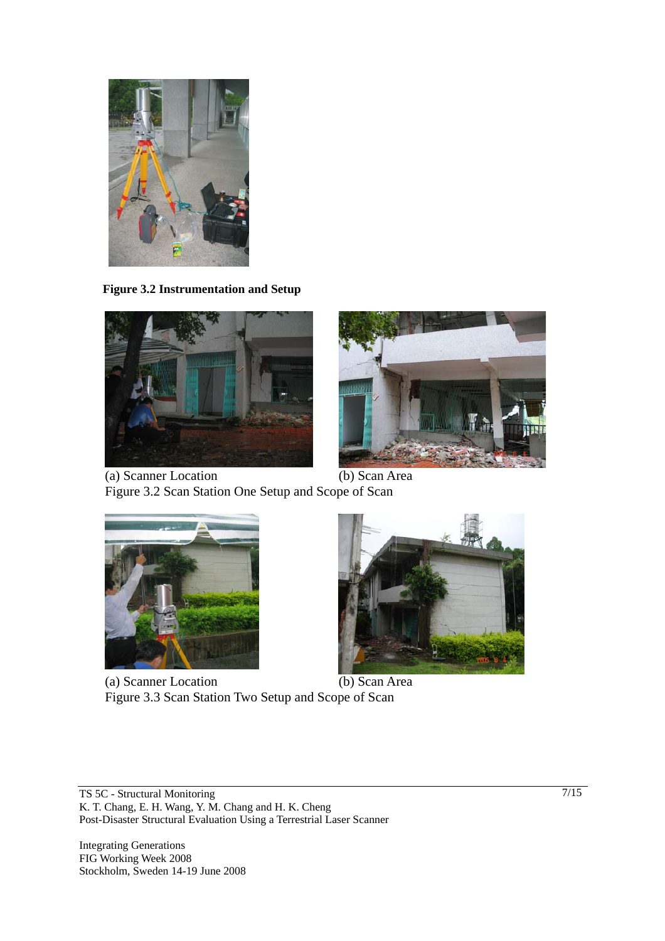

 **Figure 3.2 Instrumentation and Setup** 





(a) Scanner Location (b) Scan Area Figure 3.2 Scan Station One Setup and Scope of Scan



(a) Scanner Location (b) Scan Area Figure 3.3 Scan Station Two Setup and Scope of Scan



TS 5C - Structural Monitoring K. T. Chang, E. H. Wang, Y. M. Chang and H. K. Cheng Post-Disaster Structural Evaluation Using a Terrestrial Laser Scanner

Integrating Generations FIG Working Week 2008 Stockholm, Sweden 14-19 June 2008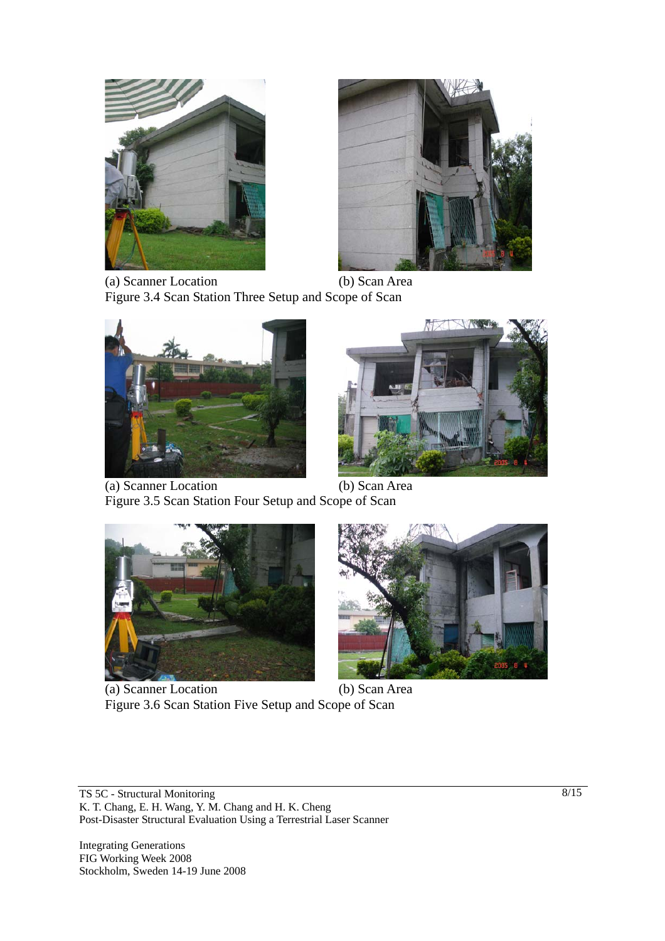



(a) Scanner Location (b) Scan Area Figure 3.4 Scan Station Three Setup and Scope of Scan





(a) Scanner Location (b) Scan Area Figure 3.5 Scan Station Four Setup and Scope of Scan



(a) Scanner Location (b) Scan Area Figure 3.6 Scan Station Five Setup and Scope of Scan



TS 5C - Structural Monitoring K. T. Chang, E. H. Wang, Y. M. Chang and H. K. Cheng Post-Disaster Structural Evaluation Using a Terrestrial Laser Scanner

Integrating Generations FIG Working Week 2008 Stockholm, Sweden 14-19 June 2008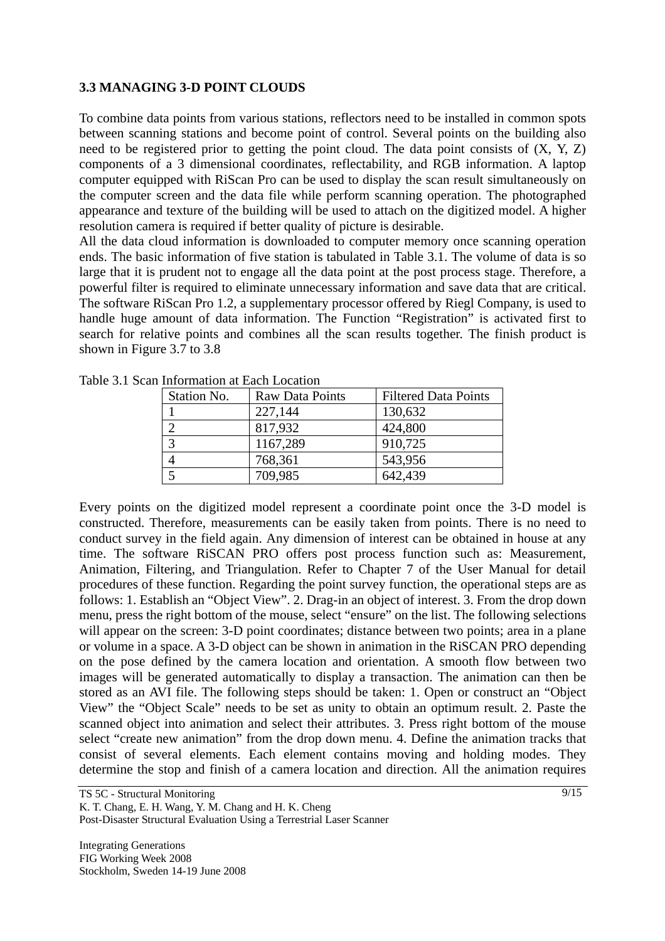### **3.3 MANAGING 3-D POINT CLOUDS**

To combine data points from various stations, reflectors need to be installed in common spots between scanning stations and become point of control. Several points on the building also need to be registered prior to getting the point cloud. The data point consists of (X, Y, Z) components of a 3 dimensional coordinates, reflectability, and RGB information. A laptop computer equipped with RiScan Pro can be used to display the scan result simultaneously on the computer screen and the data file while perform scanning operation. The photographed appearance and texture of the building will be used to attach on the digitized model. A higher resolution camera is required if better quality of picture is desirable.

All the data cloud information is downloaded to computer memory once scanning operation ends. The basic information of five station is tabulated in Table 3.1. The volume of data is so large that it is prudent not to engage all the data point at the post process stage. Therefore, a powerful filter is required to eliminate unnecessary information and save data that are critical. The software RiScan Pro 1.2, a supplementary processor offered by Riegl Company, is used to handle huge amount of data information. The Function "Registration" is activated first to search for relative points and combines all the scan results together. The finish product is shown in Figure 3.7 to 3.8

| , писниците и даен досанон |                        |                             |
|----------------------------|------------------------|-----------------------------|
| Station No.                | <b>Raw Data Points</b> | <b>Filtered Data Points</b> |
|                            | 227,144                | 130,632                     |
|                            | 817,932                | 424,800                     |
|                            | 1167,289               | 910,725                     |
|                            | 768,361                | 543,956                     |
|                            | 709,985                | 642,439                     |

Table 3.1 Scan Information at Each Location

Every points on the digitized model represent a coordinate point once the 3-D model is constructed. Therefore, measurements can be easily taken from points. There is no need to conduct survey in the field again. Any dimension of interest can be obtained in house at any time. The software RiSCAN PRO offers post process function such as: Measurement, Animation, Filtering, and Triangulation. Refer to Chapter 7 of the User Manual for detail procedures of these function. Regarding the point survey function, the operational steps are as follows: 1. Establish an "Object View". 2. Drag-in an object of interest. 3. From the drop down menu, press the right bottom of the mouse, select "ensure" on the list. The following selections will appear on the screen: 3-D point coordinates; distance between two points; area in a plane or volume in a space. A 3-D object can be shown in animation in the RiSCAN PRO depending on the pose defined by the camera location and orientation. A smooth flow between two images will be generated automatically to display a transaction. The animation can then be stored as an AVI file. The following steps should be taken: 1. Open or construct an "Object View" the "Object Scale" needs to be set as unity to obtain an optimum result. 2. Paste the scanned object into animation and select their attributes. 3. Press right bottom of the mouse select "create new animation" from the drop down menu. 4. Define the animation tracks that consist of several elements. Each element contains moving and holding modes. They determine the stop and finish of a camera location and direction. All the animation requires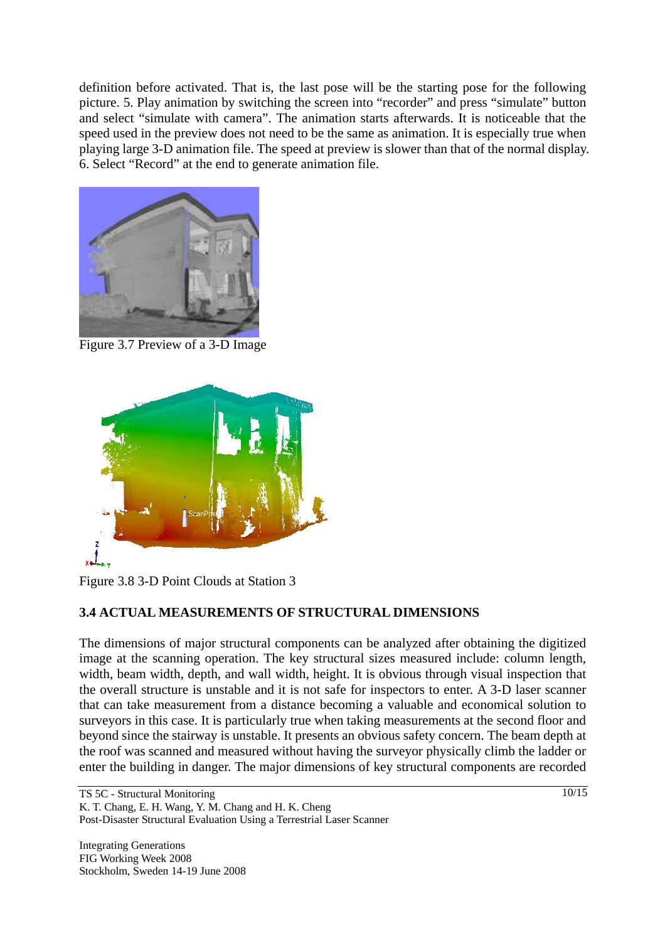definition before activated. That is, the last pose will be the starting pose for the following picture. 5. Play animation by switching the screen into "recorder" and press "simulate" button and select "simulate with camera". The animation starts afterwards. It is noticeable that the speed used in the preview does not need to be the same as animation. It is especially true when playing large 3-D animation file. The speed at preview is slower than that of the normal display. 6. Select "Record" at the end to generate animation file.



Figure 3.7 Preview of a 3-D Image



Figure 3.8 3-D Point Clouds at Station 3

## **3.4 ACTUAL MEASUREMENTS OF STRUCTURAL DIMENSIONS**

The dimensions of major structural components can be analyzed after obtaining the digitized image at the scanning operation. The key structural sizes measured include: column length, width, beam width, depth, and wall width, height. It is obvious through visual inspection that the overall structure is unstable and it is not safe for inspectors to enter. A 3-D laser scanner that can take measurement from a distance becoming a valuable and economical solution to surveyors in this case. It is particularly true when taking measurements at the second floor and beyond since the stairway is unstable. It presents an obvious safety concern. The beam depth at the roof was scanned and measured without having the surveyor physically climb the ladder or enter the building in danger. The major dimensions of key structural components are recorded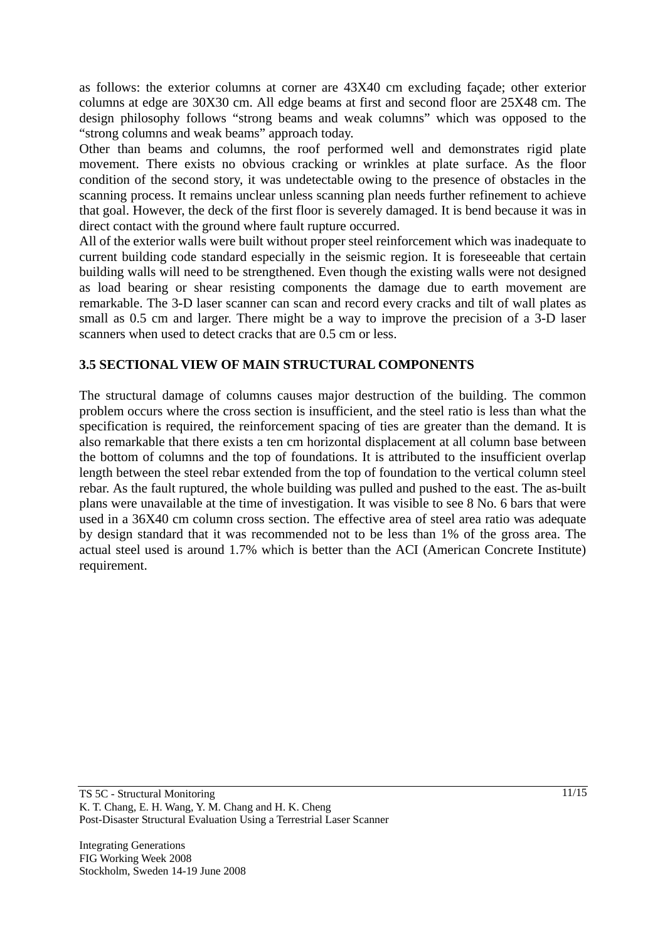as follows: the exterior columns at corner are 43X40 cm excluding façade; other exterior columns at edge are 30X30 cm. All edge beams at first and second floor are 25X48 cm. The design philosophy follows "strong beams and weak columns" which was opposed to the "strong columns and weak beams" approach today.

Other than beams and columns, the roof performed well and demonstrates rigid plate movement. There exists no obvious cracking or wrinkles at plate surface. As the floor condition of the second story, it was undetectable owing to the presence of obstacles in the scanning process. It remains unclear unless scanning plan needs further refinement to achieve that goal. However, the deck of the first floor is severely damaged. It is bend because it was in direct contact with the ground where fault rupture occurred.

All of the exterior walls were built without proper steel reinforcement which was inadequate to current building code standard especially in the seismic region. It is foreseeable that certain building walls will need to be strengthened. Even though the existing walls were not designed as load bearing or shear resisting components the damage due to earth movement are remarkable. The 3-D laser scanner can scan and record every cracks and tilt of wall plates as small as 0.5 cm and larger. There might be a way to improve the precision of a 3-D laser scanners when used to detect cracks that are 0.5 cm or less.

## **3.5 SECTIONAL VIEW OF MAIN STRUCTURAL COMPONENTS**

The structural damage of columns causes major destruction of the building. The common problem occurs where the cross section is insufficient, and the steel ratio is less than what the specification is required, the reinforcement spacing of ties are greater than the demand. It is also remarkable that there exists a ten cm horizontal displacement at all column base between the bottom of columns and the top of foundations. It is attributed to the insufficient overlap length between the steel rebar extended from the top of foundation to the vertical column steel rebar. As the fault ruptured, the whole building was pulled and pushed to the east. The as-built plans were unavailable at the time of investigation. It was visible to see 8 No. 6 bars that were used in a 36X40 cm column cross section. The effective area of steel area ratio was adequate by design standard that it was recommended not to be less than 1% of the gross area. The actual steel used is around 1.7% which is better than the ACI (American Concrete Institute) requirement.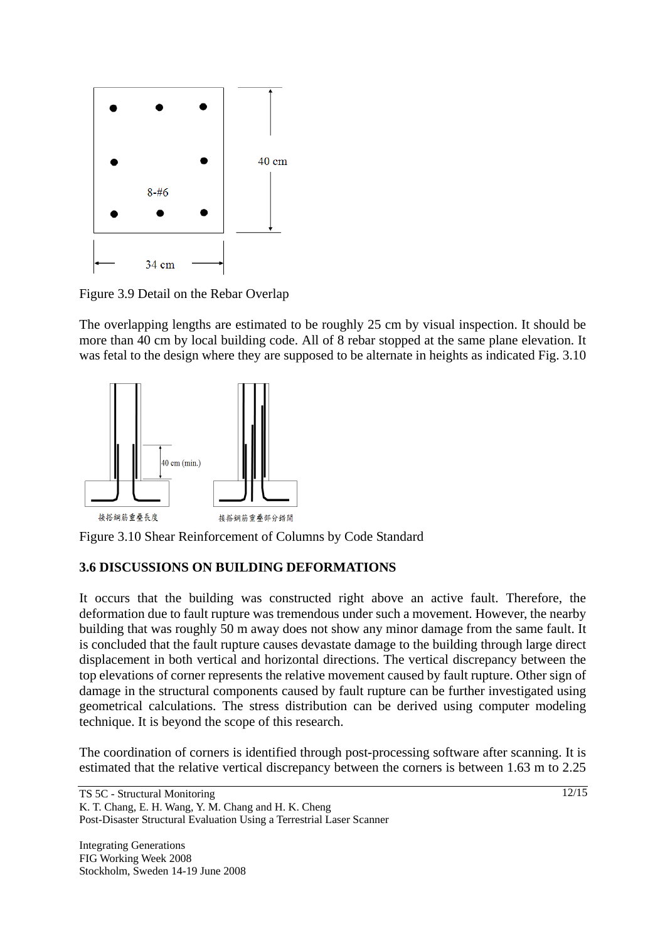

Figure 3.9 Detail on the Rebar Overlap

The overlapping lengths are estimated to be roughly 25 cm by visual inspection. It should be more than 40 cm by local building code. All of 8 rebar stopped at the same plane elevation. It was fetal to the design where they are supposed to be alternate in heights as indicated Fig. 3.10



Figure 3.10 Shear Reinforcement of Columns by Code Standard

## **3.6 DISCUSSIONS ON BUILDING DEFORMATIONS**

It occurs that the building was constructed right above an active fault. Therefore, the deformation due to fault rupture was tremendous under such a movement. However, the nearby building that was roughly 50 m away does not show any minor damage from the same fault. It is concluded that the fault rupture causes devastate damage to the building through large direct displacement in both vertical and horizontal directions. The vertical discrepancy between the top elevations of corner represents the relative movement caused by fault rupture. Other sign of damage in the structural components caused by fault rupture can be further investigated using geometrical calculations. The stress distribution can be derived using computer modeling technique. It is beyond the scope of this research.

The coordination of corners is identified through post-processing software after scanning. It is estimated that the relative vertical discrepancy between the corners is between 1.63 m to 2.25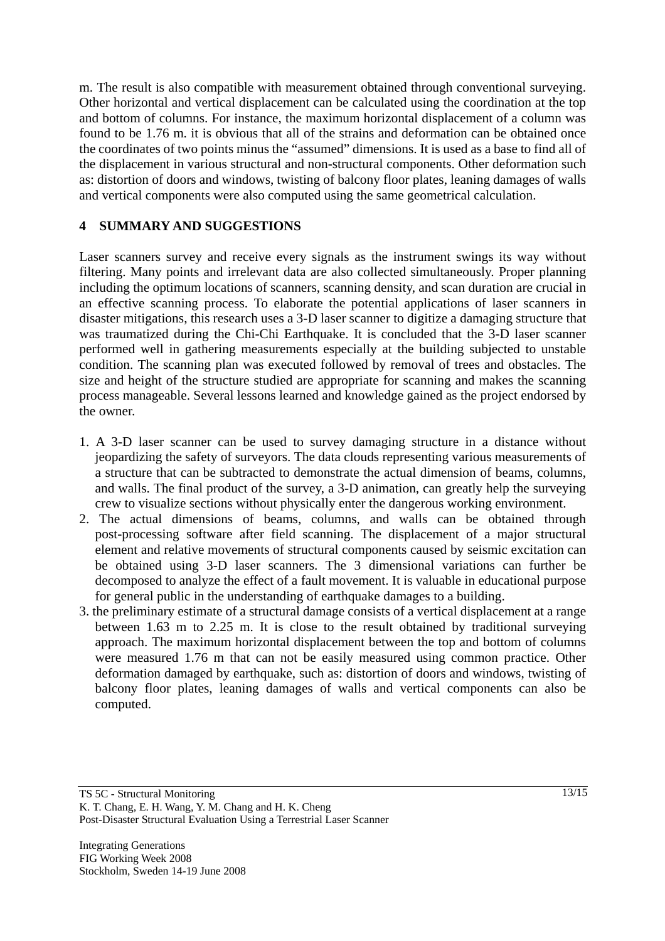m. The result is also compatible with measurement obtained through conventional surveying. Other horizontal and vertical displacement can be calculated using the coordination at the top and bottom of columns. For instance, the maximum horizontal displacement of a column was found to be 1.76 m. it is obvious that all of the strains and deformation can be obtained once the coordinates of two points minus the "assumed" dimensions. It is used as a base to find all of the displacement in various structural and non-structural components. Other deformation such as: distortion of doors and windows, twisting of balcony floor plates, leaning damages of walls and vertical components were also computed using the same geometrical calculation.

## **4 SUMMARY AND SUGGESTIONS**

Laser scanners survey and receive every signals as the instrument swings its way without filtering. Many points and irrelevant data are also collected simultaneously. Proper planning including the optimum locations of scanners, scanning density, and scan duration are crucial in an effective scanning process. To elaborate the potential applications of laser scanners in disaster mitigations, this research uses a 3-D laser scanner to digitize a damaging structure that was traumatized during the Chi-Chi Earthquake. It is concluded that the 3-D laser scanner performed well in gathering measurements especially at the building subjected to unstable condition. The scanning plan was executed followed by removal of trees and obstacles. The size and height of the structure studied are appropriate for scanning and makes the scanning process manageable. Several lessons learned and knowledge gained as the project endorsed by the owner.

- 1. A 3-D laser scanner can be used to survey damaging structure in a distance without jeopardizing the safety of surveyors. The data clouds representing various measurements of a structure that can be subtracted to demonstrate the actual dimension of beams, columns, and walls. The final product of the survey, a 3-D animation, can greatly help the surveying crew to visualize sections without physically enter the dangerous working environment.
- 2. The actual dimensions of beams, columns, and walls can be obtained through post-processing software after field scanning. The displacement of a major structural element and relative movements of structural components caused by seismic excitation can be obtained using 3-D laser scanners. The 3 dimensional variations can further be decomposed to analyze the effect of a fault movement. It is valuable in educational purpose for general public in the understanding of earthquake damages to a building.
- 3. the preliminary estimate of a structural damage consists of a vertical displacement at a range between 1.63 m to 2.25 m. It is close to the result obtained by traditional surveying approach. The maximum horizontal displacement between the top and bottom of columns were measured 1.76 m that can not be easily measured using common practice. Other deformation damaged by earthquake, such as: distortion of doors and windows, twisting of balcony floor plates, leaning damages of walls and vertical components can also be computed.

TS 5C - Structural Monitoring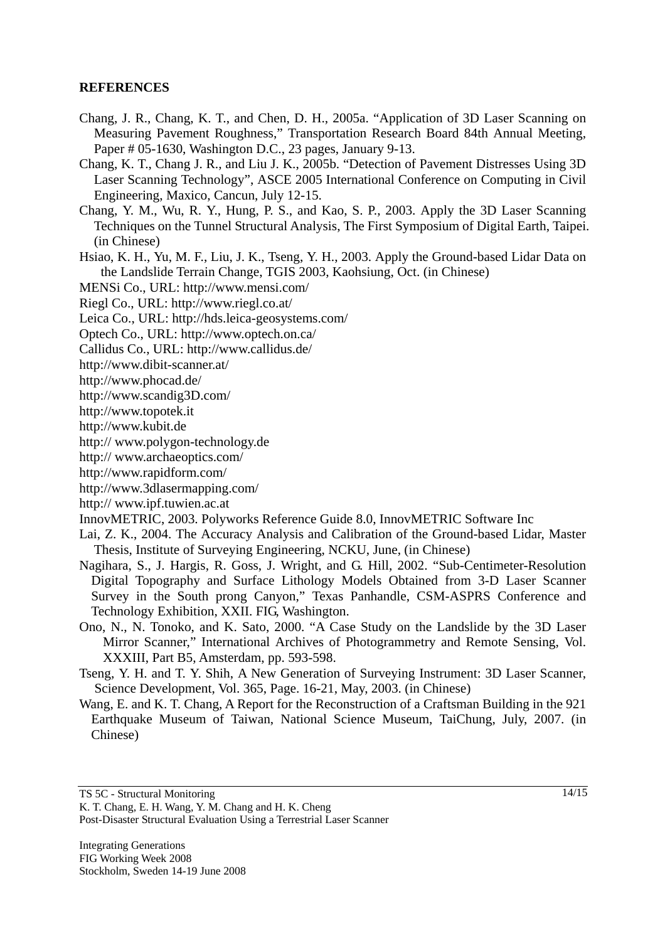### **REFERENCES**

- Chang, J. R., Chang, K. T., and Chen, D. H., 2005a. "Application of 3D Laser Scanning on Measuring Pavement Roughness," Transportation Research Board 84th Annual Meeting, Paper # 05-1630, Washington D.C., 23 pages, January 9-13.
- Chang, K. T., Chang J. R., and Liu J. K., 2005b. "Detection of Pavement Distresses Using 3D Laser Scanning Technology", ASCE 2005 International Conference on Computing in Civil Engineering, Maxico, Cancun, July 12-15.
- Chang, Y. M., Wu, R. Y., Hung, P. S., and Kao, S. P., 2003. Apply the 3D Laser Scanning Techniques on the Tunnel Structural Analysis, The First Symposium of Digital Earth, Taipei. (in Chinese)
- Hsiao, K. H., Yu, M. F., Liu, J. K., Tseng, Y. H., 2003. Apply the Ground-based Lidar Data on the Landslide Terrain Change, TGIS 2003, Kaohsiung, Oct. (in Chinese)

MENSi Co., URL: http://www.mensi.com/

Riegl Co., URL: http://www.riegl.co.at/

Leica Co., URL: http://hds.leica-geosystems.com/

Optech Co., URL: http://www.optech.on.ca/

Callidus Co., URL: http://www.callidus.de/

http://www.dibit-scanner.at/

- http://www.phocad.de/
- http://www.scandig3D.com/
- http://www.topotek.it
- http://www.kubit.de
- http:// www.polygon-technology.de
- http:// www.archaeoptics.com/
- http://www.rapidform.com/
- http://www.3dlasermapping.com/
- http:// www.ipf.tuwien.ac.at
- InnovMETRIC, 2003. Polyworks Reference Guide 8.0, InnovMETRIC Software Inc
- Lai, Z. K., 2004. The Accuracy Analysis and Calibration of the Ground-based Lidar, Master Thesis, Institute of Surveying Engineering, NCKU, June, (in Chinese)
- Nagihara, S., J. Hargis, R. Goss, J. Wright, and G. Hill, 2002. "Sub-Centimeter-Resolution Digital Topography and Surface Lithology Models Obtained from 3-D Laser Scanner Survey in the South prong Canyon," Texas Panhandle, CSM-ASPRS Conference and Technology Exhibition, XXII. FIG, Washington.
- Ono, N., N. Tonoko, and K. Sato, 2000. "A Case Study on the Landslide by the 3D Laser Mirror Scanner," International Archives of Photogrammetry and Remote Sensing, Vol. XXXIII, Part B5, Amsterdam, pp. 593-598.
- Tseng, Y. H. and T. Y. Shih, A New Generation of Surveying Instrument: 3D Laser Scanner, Science Development, Vol. 365, Page. 16-21, May, 2003. (in Chinese)
- Wang, E. and K. T. Chang, A Report for the Reconstruction of a Craftsman Building in the 921 Earthquake Museum of Taiwan, National Science Museum, TaiChung, July, 2007. (in Chinese)

Post-Disaster Structural Evaluation Using a Terrestrial Laser Scanner

K. T. Chang, E. H. Wang, Y. M. Chang and H. K. Cheng